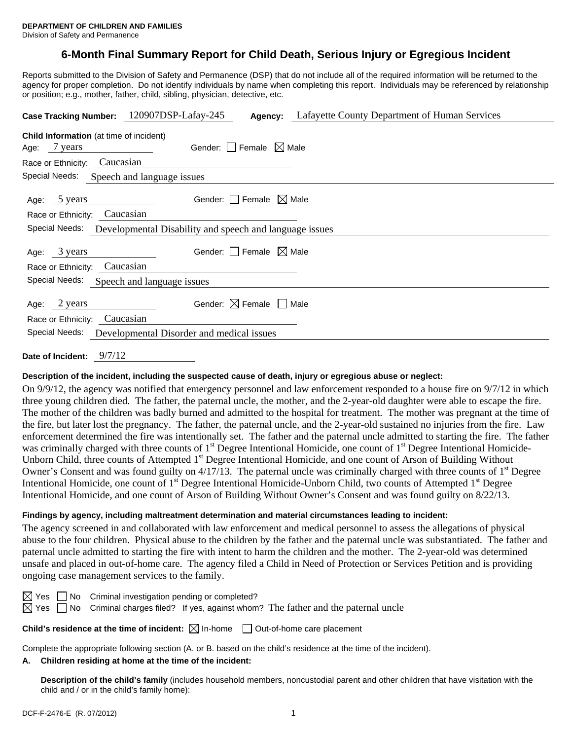# **6-Month Final Summary Report for Child Death, Serious Injury or Egregious Incident**

Reports submitted to the Division of Safety and Permanence (DSP) that do not include all of the required information will be returned to the agency for proper completion. Do not identify individuals by name when completing this report. Individuals may be referenced by relationship or position; e.g., mother, father, child, sibling, physician, detective, etc.

|                                                                           | Case Tracking Number: 120907DSP-Lafay-245 |                                        | <b>Agency:</b> Lafayette County Department of Human Services |  |  |  |  |
|---------------------------------------------------------------------------|-------------------------------------------|----------------------------------------|--------------------------------------------------------------|--|--|--|--|
| <b>Child Information</b> (at time of incident)<br>Age: 7 years            |                                           | Gender: Female $\boxtimes$ Male        |                                                              |  |  |  |  |
| Race or Ethnicity:                                                        | Caucasian                                 |                                        |                                                              |  |  |  |  |
| Special Needs:                                                            | Speech and language issues                |                                        |                                                              |  |  |  |  |
| Age: 5 years<br>Race or Ethnicity:                                        | Caucasian                                 | Gender: $ $   Female $\bowtie$ Male    |                                                              |  |  |  |  |
| Special Needs:<br>Developmental Disability and speech and language issues |                                           |                                        |                                                              |  |  |  |  |
| 3 years<br>Age:<br>Race or Ethnicity: Caucasian                           |                                           | Gender: $\Box$ Female $\boxtimes$ Male |                                                              |  |  |  |  |
| Special Needs: Speech and language issues                                 |                                           |                                        |                                                              |  |  |  |  |
| 2 years<br>Age:<br>Race or Ethnicity: Caucasian                           |                                           | Gender: $\boxtimes$ Female             | Male                                                         |  |  |  |  |
| Special Needs:<br>Developmental Disorder and medical issues               |                                           |                                        |                                                              |  |  |  |  |
|                                                                           |                                           |                                        |                                                              |  |  |  |  |

**Date of Incident:** 9/7/12

#### **Description of the incident, including the suspected cause of death, injury or egregious abuse or neglect:**

On 9/9/12, the agency was notified that emergency personnel and law enforcement responded to a house fire on 9/7/12 in which three young children died. The father, the paternal uncle, the mother, and the 2-year-old daughter were able to escape the fire. The mother of the children was badly burned and admitted to the hospital for treatment. The mother was pregnant at the time of the fire, but later lost the pregnancy. The father, the paternal uncle, and the 2-year-old sustained no injuries from the fire. Law enforcement determined the fire was intentionally set. The father and the paternal uncle admitted to starting the fire. The father was criminally charged with three counts of 1<sup>st</sup> Degree Intentional Homicide, one count of 1<sup>st</sup> Degree Intentional Homicide-Unborn Child, three counts of Attempted 1<sup>st</sup> Degree Intentional Homicide, and one count of Arson of Building Without Owner's Consent and was found guilty on  $4/17/13$ . The paternal uncle was criminally charged with three counts of  $1<sup>st</sup>$  Degree Intentional Homicide, one count of 1<sup>st</sup> Degree Intentional Homicide-Unborn Child, two counts of Attempted 1<sup>st</sup> Degree Intentional Homicide, and one count of Arson of Building Without Owner's Consent and was found guilty on 8/22/13.

#### **Findings by agency, including maltreatment determination and material circumstances leading to incident:**

The agency screened in and collaborated with law enforcement and medical personnel to assess the allegations of physical abuse to the four children. Physical abuse to the children by the father and the paternal uncle was substantiated. The father and paternal uncle admitted to starting the fire with intent to harm the children and the mother. The 2-year-old was determined unsafe and placed in out-of-home care. The agency filed a Child in Need of Protection or Services Petition and is providing ongoing case management services to the family.

|  | $\boxtimes$ Yes $\Box$ No Criminal investigation pending or completed?                                    |  |  |
|--|-----------------------------------------------------------------------------------------------------------|--|--|
|  | $\boxtimes$ Yes $\Box$ No Criminal charges filed? If yes, against whom? The father and the paternal uncle |  |  |

**Child's residence at the time of incident:**  $\boxtimes$  In-home  $\Box$  Out-of-home care placement

Complete the appropriate following section (A. or B. based on the child's residence at the time of the incident).

### **A. Children residing at home at the time of the incident:**

**Description of the child's family** (includes household members, noncustodial parent and other children that have visitation with the child and / or in the child's family home):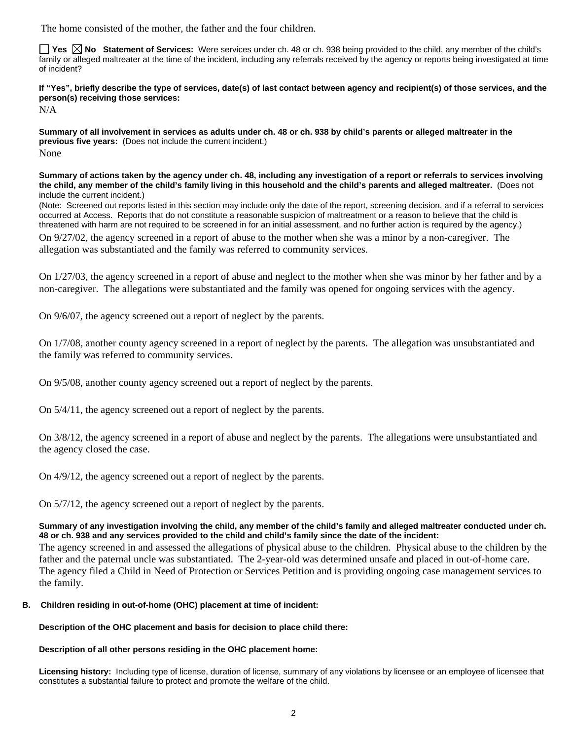The home consisted of the mother, the father and the four children.

**Tes**  $\boxtimes$  **No** Statement of Services: Were services under ch. 48 or ch. 938 being provided to the child, any member of the child's family or alleged maltreater at the time of the incident, including any referrals received by the agency or reports being investigated at time of incident?

**If "Yes", briefly describe the type of services, date(s) of last contact between agency and recipient(s) of those services, and the person(s) receiving those services:** 

N/A

**Summary of all involvement in services as adults under ch. 48 or ch. 938 by child's parents or alleged maltreater in the previous five years:** (Does not include the current incident.) None

**Summary of actions taken by the agency under ch. 48, including any investigation of a report or referrals to services involving the child, any member of the child's family living in this household and the child's parents and alleged maltreater.** (Does not include the current incident.)

(Note: Screened out reports listed in this section may include only the date of the report, screening decision, and if a referral to services occurred at Access. Reports that do not constitute a reasonable suspicion of maltreatment or a reason to believe that the child is threatened with harm are not required to be screened in for an initial assessment, and no further action is required by the agency.)

On 9/27/02, the agency screened in a report of abuse to the mother when she was a minor by a non-caregiver. The allegation was substantiated and the family was referred to community services.

On 1/27/03, the agency screened in a report of abuse and neglect to the mother when she was minor by her father and by a non-caregiver. The allegations were substantiated and the family was opened for ongoing services with the agency.

On 9/6/07, the agency screened out a report of neglect by the parents.

On 1/7/08, another county agency screened in a report of neglect by the parents. The allegation was unsubstantiated and the family was referred to community services.

On 9/5/08, another county agency screened out a report of neglect by the parents.

On 5/4/11, the agency screened out a report of neglect by the parents.

On 3/8/12, the agency screened in a report of abuse and neglect by the parents. The allegations were unsubstantiated and the agency closed the case.

On 4/9/12, the agency screened out a report of neglect by the parents.

On 5/7/12, the agency screened out a report of neglect by the parents.

#### **Summary of any investigation involving the child, any member of the child's family and alleged maltreater conducted under ch. 48 or ch. 938 and any services provided to the child and child's family since the date of the incident:**

The agency screened in and assessed the allegations of physical abuse to the children. Physical abuse to the children by the father and the paternal uncle was substantiated. The 2-year-old was determined unsafe and placed in out-of-home care. The agency filed a Child in Need of Protection or Services Petition and is providing ongoing case management services to the family.

# **B. Children residing in out-of-home (OHC) placement at time of incident:**

**Description of the OHC placement and basis for decision to place child there:**

# **Description of all other persons residing in the OHC placement home:**

**Licensing history:** Including type of license, duration of license, summary of any violations by licensee or an employee of licensee that constitutes a substantial failure to protect and promote the welfare of the child.